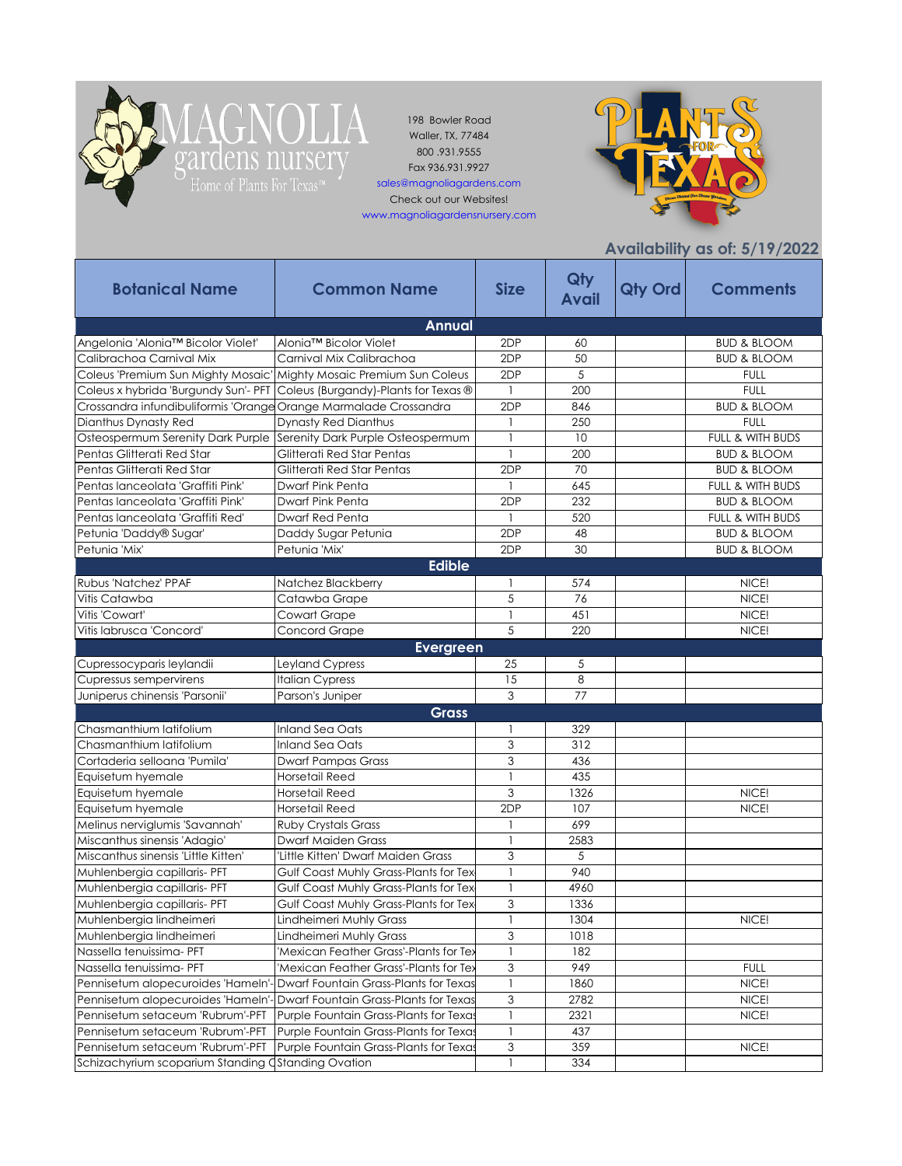

ga

198 Bowler Road Waller, TX, 77484 800 .931.9555 Fax 936.931.9927

IOLIA

ardens nursery

sales@magnoliagardens.com Check out our Websites!

www.magnoliagardensnursery.com



**Availability as of: 5/19/2022**

|                                                                     |                                                                           |                           |                     |                | $A$ valiability as of. $3/17/2922$ |
|---------------------------------------------------------------------|---------------------------------------------------------------------------|---------------------------|---------------------|----------------|------------------------------------|
| <b>Botanical Name</b>                                               | <b>Common Name</b>                                                        | <b>Size</b>               | Qty<br><b>Avail</b> | <b>Qty Ord</b> | <b>Comments</b>                    |
|                                                                     | <b>Annual</b>                                                             |                           |                     |                |                                    |
| Angelonia 'Alonia™ Bicolor Violet'                                  | Alonia™ Bicolor Violet                                                    | 2DP                       | 60                  |                | <b>BUD &amp; BLOOM</b>             |
| Calibrachoa Carnival Mix                                            | Carnival Mix Calibrachoa                                                  | 2DP                       | 50                  |                | <b>BUD &amp; BLOOM</b>             |
| Coleus 'Premium Sun Mighty Mosaic' Mighty Mosaic Premium Sun Coleus |                                                                           | 2DP                       | 5                   |                | <b>FULL</b>                        |
|                                                                     | Coleus x hybrida 'Burgundy Sun'- PFT Coleus (Burgandy)-Plants for Texas ® | $\mathbf{1}$              | 200                 |                | <b>FULL</b>                        |
| Crossandra infundibuliformis 'Orange                                | Orange Marmalade Crossandra                                               | 2DP                       | 846                 |                | <b>BUD &amp; BLOOM</b>             |
| Dianthus Dynasty Red                                                | <b>Dynasty Red Dianthus</b>                                               | -1                        | 250                 |                | <b>FULL</b>                        |
| Osteospermum Serenity Dark Purple                                   | Serenity Dark Purple Osteospermum                                         | $\mathbf{1}$              | 10                  |                | FULL & WITH BUDS                   |
| Pentas Glitterati Red Star                                          | Glitterati Red Star Pentas                                                |                           | 200                 |                | <b>BUD &amp; BLOOM</b>             |
| Pentas Glitterati Red Star                                          | Glitterati Red Star Pentas                                                | 2DP                       | 70                  |                | <b>BUD &amp; BLOOM</b>             |
| Pentas lanceolata 'Graffiti Pink'                                   | Dwarf Pink Penta                                                          |                           | 645                 |                | FULL & WITH BUDS                   |
| Pentas lanceolata 'Graffiti Pink'                                   | Dwarf Pink Penta                                                          | 2DP                       | 232                 |                | <b>BUD &amp; BLOOM</b>             |
| Pentas lanceolata 'Graffiti Red'                                    | Dwarf Red Penta                                                           | -1                        | 520                 |                | FULL & WITH BUDS                   |
| Petunia 'Daddy® Sugar'                                              | Daddy Sugar Petunia                                                       | 2DP                       | 48                  |                | <b>BUD &amp; BLOOM</b>             |
| Petunia 'Mix'                                                       | Petunia 'Mix'                                                             | 2DP                       | 30                  |                | <b>BUD &amp; BLOOM</b>             |
|                                                                     | <b>Edible</b>                                                             |                           |                     |                |                                    |
| Rubus 'Natchez' PPAF                                                | Natchez Blackberry                                                        | -1                        | 574                 |                | NICE!                              |
| Vitis Catawba                                                       | Catawba Grape                                                             | 5                         | 76                  |                | NICE!                              |
| Vitis 'Cowart'                                                      | Cowart Grape                                                              |                           | 451                 |                | NICE!                              |
| Vitis labrusca 'Concord'                                            | Concord Grape                                                             | 5                         | 220                 |                | NICE!                              |
|                                                                     | <b>Evergreen</b>                                                          |                           |                     |                |                                    |
| Cupressocyparis leylandii                                           | Leyland Cypress                                                           | 25                        | 5                   |                |                                    |
| Cupressus sempervirens                                              | <b>Italian Cypress</b>                                                    | 15                        | 8                   |                |                                    |
| Juniperus chinensis 'Parsonii'                                      | Parson's Juniper                                                          | 3                         | 77                  |                |                                    |
|                                                                     | <b>Grass</b>                                                              |                           |                     |                |                                    |
| Chasmanthium latifolium                                             | <b>Inland Sea Oats</b>                                                    |                           |                     |                |                                    |
| Chasmanthium latifolium                                             | Inland Sea Oats                                                           | 3                         | 329<br>312          |                |                                    |
|                                                                     |                                                                           |                           |                     |                |                                    |
| Cortaderia selloana 'Pumila'                                        | <b>Dwarf Pampas Grass</b>                                                 | 3                         | 436<br>435          |                |                                    |
| Equisetum hyemale                                                   | Horsetail Reed                                                            | $\mathbf{1}$<br>3         | 1326                |                |                                    |
| Equisetum hyemale                                                   | Horsetail Reed                                                            | 2DP                       |                     |                | NICE!                              |
| Equisetum hyemale                                                   | <b>Horsetail Reed</b>                                                     |                           | 107<br>699          |                | NICE!                              |
| Melinus nerviglumis 'Savannah'                                      | <b>Ruby Crystals Grass</b>                                                |                           |                     |                |                                    |
| Miscanthus sinensis 'Adagio'                                        | <b>Dwarf Maiden Grass</b>                                                 | $\mathbf{1}$              | 2583                |                |                                    |
| Miscanthus sinensis 'Little Kitten'                                 | 'Little Kitten' Dwarf Maiden Grass                                        | 3                         | 5<br>940            |                |                                    |
| Muhlenbergia capillaris- PFT                                        | Gulf Coast Muhly Grass-Plants for Tex                                     | $\mathbf{1}$              |                     |                |                                    |
| Muhlenbergia capillaris- PFT                                        | Gulf Coast Muhly Grass-Plants for Tex                                     |                           | 4960                |                |                                    |
| Muhlenbergia capillaris- PFT                                        | Gulf Coast Muhly Grass-Plants for Tex                                     | 3                         | 1336                |                |                                    |
| Muhlenbergia lindheimeri                                            | Lindheimeri Muhly Grass                                                   | -1                        | 1304                |                | NICE!                              |
| Muhlenbergia lindheimeri                                            | Lindheimeri Muhly Grass                                                   | 3                         | 1018                |                |                                    |
| Nassella tenuissima- PFT                                            | 'Mexican Feather Grass'-Plants for Tex                                    |                           | 182                 |                |                                    |
| Nassella tenuissima- PFT                                            | 'Mexican Feather Grass'-Plants for Tex                                    | 3                         | 949                 |                | <b>FULL</b>                        |
| Pennisetum alopecuroides 'Hameln'-                                  | Dwarf Fountain Grass-Plants for Texas                                     | $\mathbf{1}$              | 1860                |                | NICE!                              |
| Pennisetum alopecuroides 'Hameln'-                                  | Dwarf Fountain Grass-Plants for Texas                                     | $\ensuremath{\mathsf{3}}$ | 2782                |                | NICE!                              |
| Pennisetum setaceum 'Rubrum'-PFT                                    | Purple Fountain Grass-Plants for Texas                                    | $\mathbf{1}$              | 2321                |                | NICE!                              |
| Pennisetum setaceum 'Rubrum'-PFT                                    | Purple Fountain Grass-Plants for Texas                                    | -1                        | 437                 |                |                                    |
| Pennisetum setaceum 'Rubrum'-PFT                                    | Purple Fountain Grass-Plants for Texas                                    | 3                         | 359                 |                | NICE!                              |
| Schizachyrium scoparium Standing Ostanding Ovation                  |                                                                           | $\mathbf{1}$              | 334                 |                |                                    |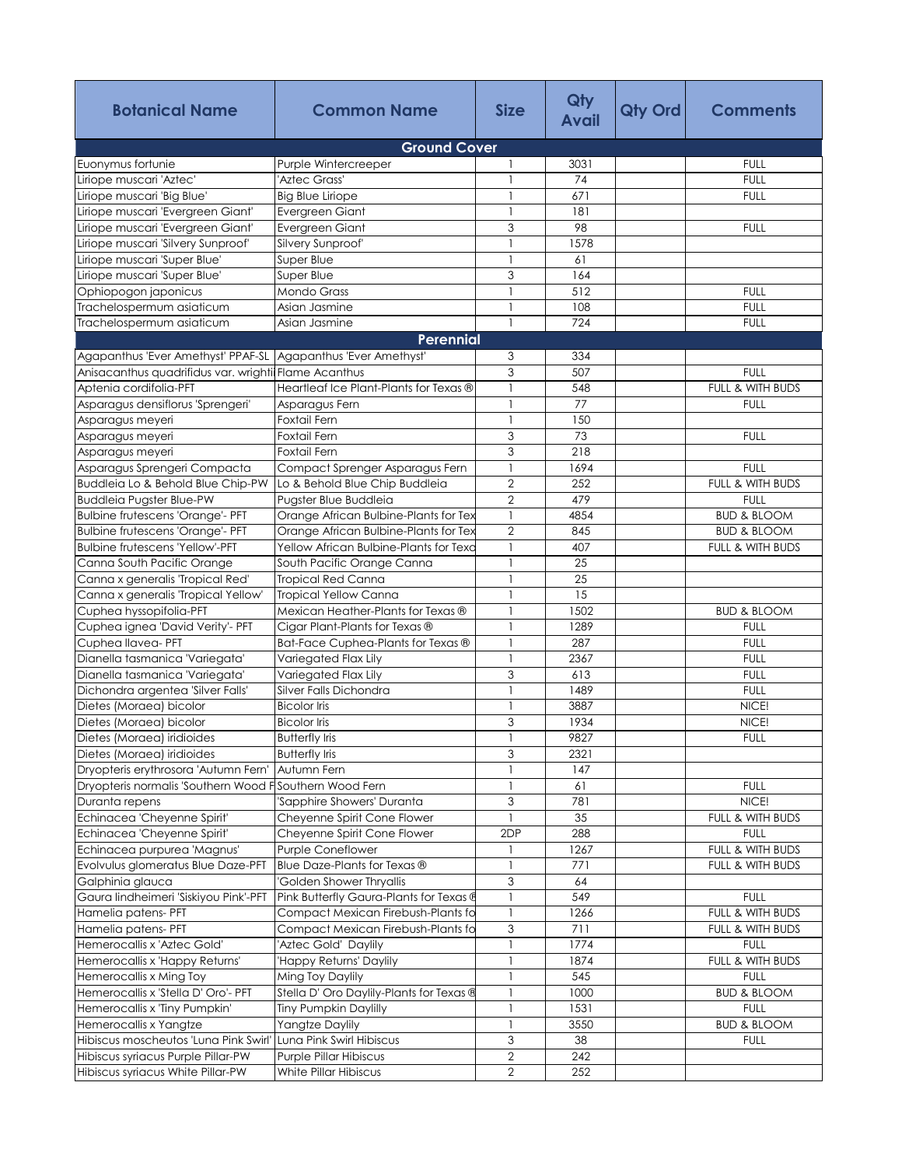| <b>Botanical Name</b>                   | <b>Common Name</b>                       | <b>Size</b>    | Qty<br><b>Avail</b> | <b>Qty Ord</b> | <b>Comments</b>        |
|-----------------------------------------|------------------------------------------|----------------|---------------------|----------------|------------------------|
|                                         | <b>Ground Cover</b>                      |                |                     |                |                        |
| Euonymus fortunie                       | Purple Wintercreeper                     | 1              | 3031                |                | <b>FULL</b>            |
| Liriope muscari 'Aztec'                 | 'Aztec Grass'                            | $\mathbf{1}$   | 74                  |                | <b>FULL</b>            |
| Liriope muscari 'Big Blue'              | <b>Big Blue Liriope</b>                  |                | 671                 |                | <b>FULL</b>            |
| Liriope muscari 'Evergreen Giant'       | Evergreen Giant                          | 1              | 181                 |                |                        |
| Liriope muscari 'Evergreen Giant'       | Evergreen Giant                          | 3              | 98                  |                | <b>FULL</b>            |
| Liriope muscari 'Silvery Sunproof'      | Silvery Sunproof'                        |                | 1578                |                |                        |
| Liriope muscari 'Super Blue'            | Super Blue                               | $\mathbf{1}$   | 61                  |                |                        |
| Liriope muscari 'Super Blue'            | Super Blue                               | 3              | 164                 |                |                        |
| Ophiopogon japonicus                    | <b>Mondo Grass</b>                       | $\mathbf{1}$   | 512                 |                | <b>FULL</b>            |
| Trachelospermum asiaticum               | Asian Jasmine                            |                | 108                 |                | <b>FULL</b>            |
| Trachelospermum asiaticum               | Asian Jasmine                            | $\mathbf{1}$   | 724                 |                | <b>FULL</b>            |
|                                         | Perennial                                |                |                     |                |                        |
| Agapanthus 'Ever Amethyst' PPAF-SL      | Agapanthus 'Ever Amethyst'               | 3              | 334                 |                |                        |
| Anisacanthus quadrifidus var. wrightii  | <b>Flame Acanthus</b>                    | 3              | 507                 |                | <b>FULL</b>            |
| Aptenia cordifolia-PFT                  | Heartleaf Ice Plant-Plants for Texas ®   | 1              | 548                 |                | FULL & WITH BUDS       |
| Asparagus densiflorus 'Sprengeri'       | Asparagus Fern                           |                | 77                  |                | <b>FULL</b>            |
| Asparagus meyeri                        | Foxtail Fern                             |                | 150                 |                |                        |
| Asparagus meyeri                        | Foxtail Fern                             | 3              | 73                  |                | <b>FULL</b>            |
| Asparagus meyeri                        | Foxtail Fern                             | 3              | 218                 |                |                        |
| Asparagus Sprengeri Compacta            | Compact Sprenger Asparagus Fern          | 1              | 1694                |                | <b>FULL</b>            |
| Buddleia Lo & Behold Blue Chip-PW       | Lo & Behold Blue Chip Buddleia           | $\overline{2}$ | 252                 |                | FULL & WITH BUDS       |
| <b>Buddleia Pugster Blue-PW</b>         | Pugster Blue Buddleia                    | $\overline{2}$ | 479                 |                | <b>FULL</b>            |
| Bulbine frutescens 'Orange'- PFT        | Orange African Bulbine-Plants for Tex    | $\mathbf{1}$   | 4854                |                | <b>BUD &amp; BLOOM</b> |
| <b>Bulbine frutescens 'Orange'- PFT</b> | Orange African Bulbine-Plants for Tex    | $\overline{2}$ | 845                 |                | <b>BUD &amp; BLOOM</b> |
| <b>Bulbine frutescens 'Yellow'-PFT</b>  | Yellow African Bulbine-Plants for Texa   | $\mathbf{1}$   | 407                 |                | FULL & WITH BUDS       |
| Canna South Pacific Orange              | South Pacific Orange Canna               |                | 25                  |                |                        |
| Canna x generalis 'Tropical Red'        | <b>Tropical Red Canna</b>                |                | 25                  |                |                        |
| Canna x generalis 'Tropical Yellow'     | <b>Tropical Yellow Canna</b>             | $\mathbf{1}$   | 15                  |                |                        |
| Cuphea hyssopifolia-PFT                 | Mexican Heather-Plants for Texas ®       |                | 1502                |                | <b>BUD &amp; BLOOM</b> |
| Cuphea ignea 'David Verity'- PFT        | Cigar Plant-Plants for Texas ®           | 1              | 1289                |                | <b>FULL</b>            |
| Cuphea Ilavea- PFT                      | Bat-Face Cuphea-Plants for Texas ®       | $\mathbf{1}$   | 287                 |                | <b>FULL</b>            |
| Dianella tasmanica 'Variegata'          | Variegated Flax Lily                     | $\mathbf{1}$   | 2367                |                | <b>FULL</b>            |
| Dianella tasmanica 'Variegata'          | Variegated Flax Lily                     | 3              | 613                 |                | <b>FULL</b>            |
| Dichondra argentea 'Silver Falls'       | Silver Falls Dichondra                   | 1              | 1489                |                | <b>FULL</b>            |
| Dietes (Moraea) bicolor                 | <b>Bicolor</b> Iris                      | 1              | 3887                |                | NICE!                  |
| Dietes (Moraea) bicolor                 | <b>Bicolor</b> Iris                      | 3              | 1934                |                | NICE!                  |
| Dietes (Moraea) iridioides              | <b>Butterfly</b> Iris                    |                | 9827                |                | <b>FULL</b>            |
| Dietes (Moraea) iridioides              | <b>Butterfly Iris</b>                    | 3              | 2321                |                |                        |
| Dryopteris erythrosora 'Autumn Fern'    | Autumn Fern                              |                | 147                 |                |                        |
| Dryopteris normalis 'Southern Wood F    | Southern Wood Fern                       | 1              | 61                  |                | <b>FULL</b>            |
| Duranta repens                          | 'Sapphire Showers' Duranta               | 3              | 781                 |                | NICE!                  |
| Echinacea 'Cheyenne Spirit'             | Cheyenne Spirit Cone Flower              | $\overline{1}$ | 35                  |                | FULL & WITH BUDS       |
| Echinacea 'Cheyenne Spirit'             | Cheyenne Spirit Cone Flower              | 2DP            | 288                 |                | <b>FULL</b>            |
| Echinacea purpurea 'Magnus'             | Purple Coneflower                        | 1              | 1267                |                | FULL & WITH BUDS       |
| Evolvulus glomeratus Blue Daze-PFT      | Blue Daze-Plants for Texas ®             | $\mathbf{1}$   | 771                 |                | FULL & WITH BUDS       |
| Galphinia glauca                        | 'Golden Shower Thryallis                 | 3              | 64                  |                |                        |
| Gaura lindheimeri 'Siskiyou Pink'-PFT   | Pink Butterfly Gaura-Plants for Texas @  | $\mathbf{1}$   | 549                 |                | <b>FULL</b>            |
|                                         | Compact Mexican Firebush-Plants fo       | $\mathbf{1}$   | 1266                |                | FULL & WITH BUDS       |
| Hamelia patens- PFT                     |                                          | 3              | 711                 |                | FULL & WITH BUDS       |
| Hamelia patens- PFT                     | Compact Mexican Firebush-Plants fo       | $\mathbf{1}$   | 1774                |                | <b>FULL</b>            |
| Hemerocallis x 'Aztec Gold'             | 'Aztec Gold' Daylily                     |                |                     |                |                        |
| Hemerocallis x 'Happy Returns'          | 'Happy Returns' Daylily                  | $\mathbf{1}$   | 1874                |                | FULL & WITH BUDS       |
| Hemerocallis x Ming Toy                 | Ming Toy Daylily                         |                | 545                 |                | <b>FULL</b>            |
| Hemerocallis x 'Stella D' Oro'- PFT     | Stella D' Oro Daylily-Plants for Texas ® | $\mathbf{1}$   | 1000                |                | <b>BUD &amp; BLOOM</b> |
| Hemerocallis x 'Tiny Pumpkin'           | Tiny Pumpkin Daylilly                    | 1              | 1531                |                | <b>FULL</b>            |
| Hemerocallis x Yangtze                  | Yangtze Daylily                          | 1              | 3550                |                | <b>BUD &amp; BLOOM</b> |
| Hibiscus moscheutos 'Luna Pink Swirl'   | Luna Pink Swirl Hibiscus                 | 3              | 38                  |                | <b>FULL</b>            |
| Hibiscus syriacus Purple Pillar-PW      | <b>Purple Pillar Hibiscus</b>            | $\overline{2}$ | 242                 |                |                        |
| Hibiscus syriacus White Pillar-PW       | White Pillar Hibiscus                    | $\mathbf 2$    | 252                 |                |                        |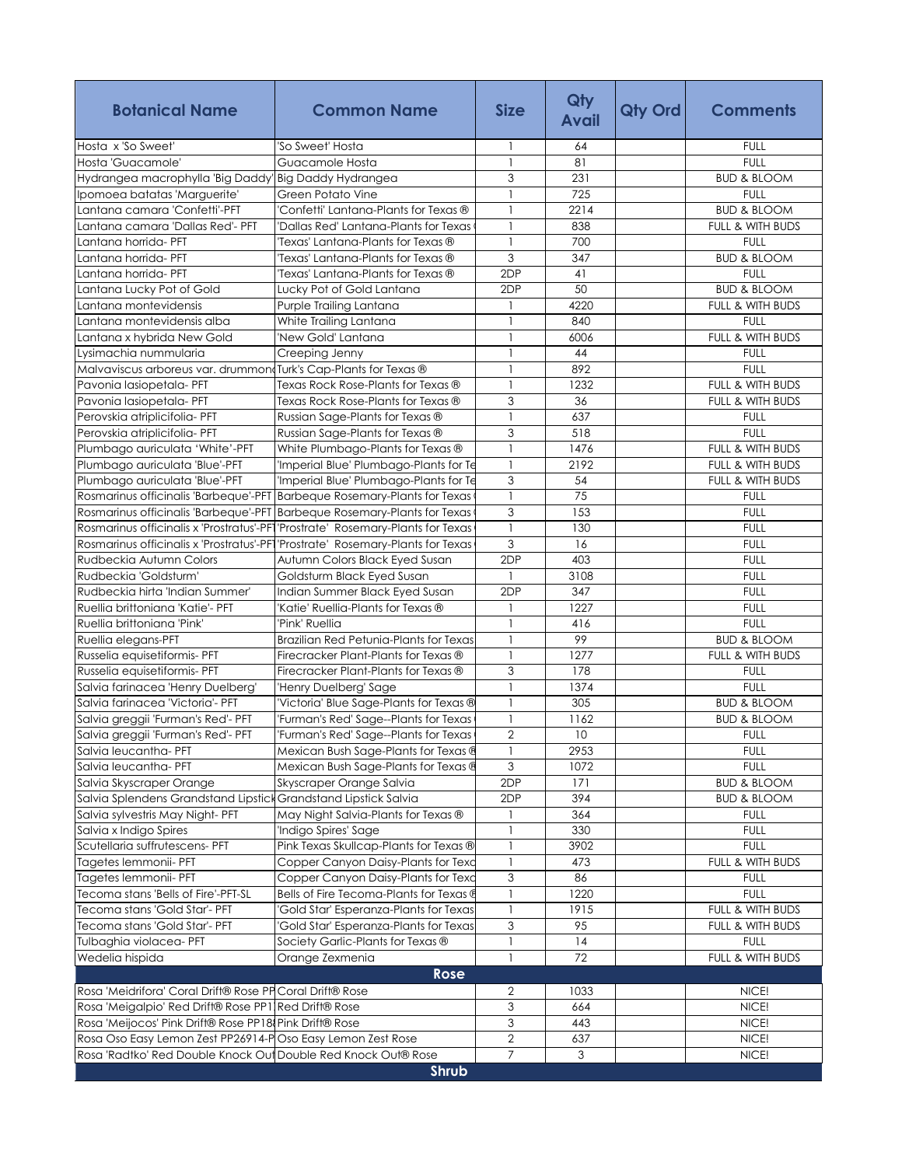| <b>Botanical Name</b>                                                           | <b>Common Name</b>                      | <b>Size</b>               | Qty<br><b>Avail</b> | Qty Ord | <b>Comments</b>            |
|---------------------------------------------------------------------------------|-----------------------------------------|---------------------------|---------------------|---------|----------------------------|
| Hosta x 'So Sweet'                                                              | 'So Sweet' Hosta                        | 1                         | 64                  |         | <b>FULL</b>                |
| Hosta 'Guacamole'                                                               | Guacamole Hosta                         | $\mathbf{1}$              | 81                  |         | <b>FULL</b>                |
| Hydrangea macrophylla 'Big Daddy' Big Daddy Hydrangea                           |                                         | 3                         | 231                 |         | <b>BUD &amp; BLOOM</b>     |
| Ipomoea batatas 'Marguerite'                                                    | Green Potato Vine                       | $\mathbf{1}$              | 725                 |         | <b>FULL</b>                |
| Lantana camara 'Confetti'-PFT                                                   | Confetti' Lantana-Plants for Texas ®    | 1                         | 2214                |         | <b>BUD &amp; BLOOM</b>     |
| Lantana camara 'Dallas Red'- PFT                                                | 'Dallas Red' Lantana-Plants for Texas   | $\mathbf{1}$              | 838                 |         | FULL & WITH BUDS           |
| Lantana horrida- PFT                                                            | Texas' Lantana-Plants for Texas ®       | $\mathbf{1}$              | 700                 |         | <b>FULL</b>                |
| Lantana horrida- PFT                                                            | Texas' Lantana-Plants for Texas ®       | 3                         | 347                 |         | <b>BUD &amp; BLOOM</b>     |
| Lantana horrida- PFT                                                            | Texas' Lantana-Plants for Texas ®       | 2DP                       | 41                  |         | <b>FULL</b>                |
| Lantana Lucky Pot of Gold                                                       | Lucky Pot of Gold Lantana               | 2DP                       | 50                  |         | <b>BUD &amp; BLOOM</b>     |
| Lantana montevidensis                                                           | Purple Trailing Lantana                 | 1                         | 4220                |         | FULL & WITH BUDS           |
| Lantana montevidensis alba                                                      | White Trailing Lantana                  | $\mathbf{1}$              | 840                 |         | <b>FULL</b>                |
| Lantana x hybrida New Gold                                                      | 'New Gold' Lantana                      | 1                         | 6006                |         | FULL & WITH BUDS           |
| Lysimachia nummularia                                                           | Creeping Jenny                          | 1                         | 44                  |         | <b>FULL</b>                |
| Malvaviscus arboreus var. drummon Turk's Cap-Plants for Texas ®                 |                                         | 1                         | 892                 |         | <b>FULL</b>                |
| Pavonia lasiopetala- PFT                                                        | Texas Rock Rose-Plants for Texas ®      | $\mathbf{1}$              | 1232                |         | FULL & WITH BUDS           |
| Pavonia lasiopetala- PFT                                                        | Texas Rock Rose-Plants for Texas ®      | 3                         | 36                  |         | FULL & WITH BUDS           |
| Perovskia atriplicifolia- PFT                                                   | Russian Sage-Plants for Texas ®         | 1                         | 637                 |         | <b>FULL</b>                |
| Perovskia atriplicifolia- PFT                                                   | Russian Sage-Plants for Texas ®         | $\mathfrak{Z}$            | 518                 |         | <b>FULL</b>                |
| Plumbago auriculata 'White'-PFT                                                 | White Plumbago-Plants for Texas ®       | $\mathbf{1}$              | 1476                |         | FULL & WITH BUDS           |
| Plumbago auriculata 'Blue'-PFT                                                  | 'Imperial Blue' Plumbago-Plants for Te  | $\mathbf{1}$              | 2192                |         | FULL & WITH BUDS           |
| Plumbago auriculata 'Blue'-PFT                                                  | 'Imperial Blue' Plumbago-Plants for Te  | $\mathfrak{Z}$            | 54                  |         | FULL & WITH BUDS           |
| Rosmarinus officinalis 'Barbeque'-PFT Barbeque Rosemary-Plants for Texas        |                                         | $\mathbf{I}$              | 75                  |         | <b>FULL</b>                |
| Rosmarinus officinalis 'Barbeque'-PFT Barbeque Rosemary-Plants for Texas        |                                         | 3                         | 153                 |         | <b>FULL</b>                |
| Rosmarinus officinalis x 'Prostratus'-PF1'Prostrate' Rosemary-Plants for Texas  |                                         | $\overline{1}$            | 130                 |         | <b>FULL</b>                |
| Rosmarinus officinalis x 'Prostratus'-PF1 'Prostrate' Rosemary-Plants for Texas |                                         | 3                         | 16                  |         | <b>FULL</b>                |
| Rudbeckia Autumn Colors                                                         | Autumn Colors Black Eyed Susan          | 2DP                       | 403                 |         | <b>FULL</b>                |
| Rudbeckia 'Goldsturm'                                                           | Goldsturm Black Eyed Susan              | $\mathbf{1}$              | 3108                |         | <b>FULL</b>                |
| Rudbeckia hirta 'Indian Summer'                                                 | Indian Summer Black Eyed Susan          | 2DP                       | 347                 |         | <b>FULL</b>                |
| Ruellia brittoniana 'Katie'- PFT                                                | 'Katie' Ruellia-Plants for Texas ®      | $\mathbf{1}$              | 1227                |         | <b>FULL</b>                |
| Ruellia brittoniana 'Pink'                                                      | 'Pink' Ruellia                          | $\mathbf{1}$              | 416                 |         | <b>FULL</b>                |
| Ruellia elegans-PFT                                                             | Brazilian Red Petunia-Plants for Texas  | 1                         | 99                  |         | <b>BUD &amp; BLOOM</b>     |
| Russelia equisetiformis- PFT                                                    | Firecracker Plant-Plants for Texas ®    | 1                         | 1277                |         | FULL & WITH BUDS           |
| Russelia equisetiformis- PFT                                                    | Firecracker Plant-Plants for Texas ®    | 3                         | 178                 |         | <b>FULL</b>                |
| Salvia farinacea 'Henry Duelberg'                                               | 'Henry Duelberg' Sage                   | $\mathbf{1}$              | 1374                |         | <b>FULL</b>                |
| Salvia farinacea 'Victoria'- PFT                                                | 'Victoria' Blue Sage-Plants for Texas ® | $\mathbf{1}$              | 305                 |         | <b>BUD &amp; BLOOM</b>     |
| Salvia greggii 'Furman's Red'- PFT                                              | 'Furman's Red' Sage--Plants for Texas   | $\mathbf{1}$              | 1162                |         | <b>BUD &amp; BLOOM</b>     |
|                                                                                 |                                         |                           | 10                  |         |                            |
| Salvia greggii 'Furman's Red'- PFT                                              | 'Furman's Red' Sage--Plants for Texas   | $\sqrt{2}$                |                     |         | <b>FULL</b>                |
| Salvia leucantha- PFT                                                           | Mexican Bush Sage-Plants for Texas ®    | 1<br>3                    | 2953                |         | <b>FULL</b><br><b>FULL</b> |
| Salvia leucantha- PFT                                                           | Mexican Bush Sage-Plants for Texas @    |                           | 1072                |         |                            |
| Salvia Skyscraper Orange                                                        | Skyscraper Orange Salvia                | 2DP                       | 171                 |         | <b>BUD &amp; BLOOM</b>     |
| Salvia Splendens Grandstand Lipstick                                            | Grandstand Lipstick Salvia              | 2DP                       | 394                 |         | <b>BUD &amp; BLOOM</b>     |
| Salvia sylvestris May Night- PFT                                                | May Night Salvia-Plants for Texas ®     | -1                        | 364                 |         | <b>FULL</b>                |
| Salvia x Indigo Spires                                                          | 'Indigo Spires' Sage                    | 1                         | 330                 |         | <b>FULL</b>                |
| Scutellaria suffrutescens- PFT                                                  | Pink Texas Skullcap-Plants for Texas ®  | 1                         | 3902                |         | <b>FULL</b>                |
| Tagetes lemmonii- PFT                                                           | Copper Canyon Daisy-Plants for Texc     | $\mathbf{1}$              | 473                 |         | FULL & WITH BUDS           |
| Tagetes lemmonii- PFT                                                           | Copper Canyon Daisy-Plants for Texc     | 3                         | 86                  |         | <b>FULL</b>                |
| Tecoma stans 'Bells of Fire'-PFT-SL                                             | Bells of Fire Tecoma-Plants for Texas @ | 1                         | 1220                |         | <b>FULL</b>                |
| Tecoma stans 'Gold Star'- PFT                                                   | Gold Star' Esperanza-Plants for Texas   | 1                         | 1915                |         | FULL & WITH BUDS           |
| Tecoma stans 'Gold Star'- PFT                                                   | 'Gold Star' Esperanza-Plants for Texas  | 3                         | 95                  |         | FULL & WITH BUDS           |
| Tulbaghia violacea- PFT                                                         | Society Garlic-Plants for Texas ®       | $\mathbf{1}$              | 14                  |         | <b>FULL</b>                |
| Wedelia hispida                                                                 | Orange Zexmenia                         | $\mathbf{1}$              | 72                  |         | FULL & WITH BUDS           |
|                                                                                 | Rose                                    |                           |                     |         |                            |
| Rosa 'Meidrifora' Coral Drift® Rose PP Coral Drift® Rose                        |                                         | 2                         | 1033                |         | NICE!                      |
| Rosa 'Meigalpio' Red Drift® Rose PP1 Red Drift® Rose                            |                                         | $\ensuremath{\mathsf{3}}$ | 664                 |         | NICE!                      |
| Rosa 'Meijocos' Pink Drift® Rose PP18 Pink Drift® Rose                          |                                         | $\overline{3}$            | 443                 |         | NICE!                      |
| Rosa Oso Easy Lemon Zest PP26914-POso Easy Lemon Zest Rose                      |                                         | $\sqrt{2}$                | 637                 |         | NICE!                      |
| Rosa 'Radtko' Red Double Knock Out Double Red Knock Out® Rose                   |                                         | 7                         | $\mathbf{3}$        |         | NICE!                      |
|                                                                                 | <b>Shrub</b>                            |                           |                     |         |                            |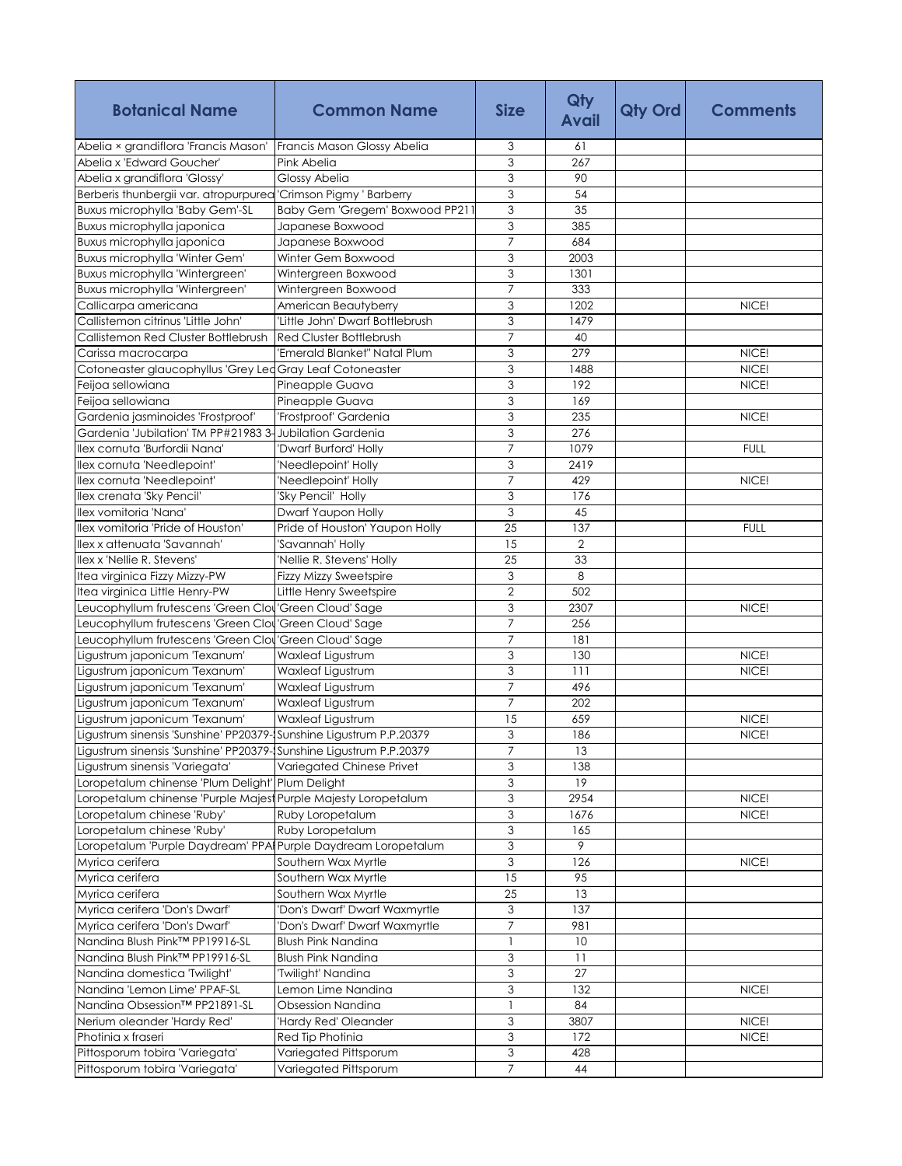| Abelia × grandiflora 'Francis Mason'<br>3<br>Francis Mason Glossy Abelia<br>61<br>3<br>Abelia x 'Edward Goucher'<br>267<br>Pink Abelia<br>3<br>Abelia x grandiflora 'Glossy'<br>Glossy Abelia<br>90<br>$\overline{3}$<br>54<br>Berberis thunbergii var. atropurpurea 'Crimson Pigmy ' Barberry<br>$\overline{3}$<br>35<br>Baby Gem 'Gregem' Boxwood PP21<br>Buxus microphylla 'Baby Gem'-SL<br>3<br>385<br>Buxus microphylla japonica<br>Japanese Boxwood<br>$\overline{7}$<br>Buxus microphylla japonica<br>Japanese Boxwood<br>684<br>Buxus microphylla 'Winter Gem'<br>3<br>Winter Gem Boxwood<br>2003<br>3<br>Buxus microphylla 'Wintergreen'<br>Wintergreen Boxwood<br>1301<br>$\overline{7}$<br>333<br>Buxus microphylla 'Wintergreen'<br>Wintergreen Boxwood<br>3<br>1202<br>NICE!<br>Callicarpa americana<br>American Beautyberry<br>3<br>Callistemon citrinus 'Little John'<br>'Little John' Dwarf Bottlebrush<br>1479<br>7<br>Red Cluster Bottlebrush<br>Callistemon Red Cluster Bottlebrush<br>40<br>3<br>279<br>'Emerald Blanket" Natal Plum<br>NICE!<br>Carissa macrocarpa<br>$\overline{3}$<br>1488<br>NICE!<br>Cotoneaster glaucophyllus 'Grey Led Gray Leaf Cotoneaster<br>3<br>192<br>NICE!<br>Feijoa sellowiana<br>Pineapple Guava<br>3<br>Feijoa sellowiana<br>Pineapple Guava<br>169<br>3<br>'Frostproof' Gardenia<br>NICE!<br>Gardenia jasminoides 'Frostproof'<br>235<br>3<br>Gardenia 'Jubilation' TM PP#21983 3-Jubilation Gardenia<br>276<br>$\overline{7}$<br>1079<br><b>FULL</b><br>Ilex cornuta 'Burfordii Nana'<br>'Dwarf Burford' Holly<br>3<br>2419<br>llex cornuta 'Needlepoint'<br>'Needlepoint' Holly<br>llex cornuta 'Needlepoint'<br>'Needlepoint' Holly<br>$\overline{7}$<br>429<br>NICE!<br>3<br>Ilex crenata 'Sky Pencil'<br>'Sky Pencil' Holly<br>176<br>3<br>Ilex vomitoria 'Nana'<br>Dwarf Yaupon Holly<br>45<br>25<br>llex vomitoria 'Pride of Houston'<br>Pride of Houston' Yaupon Holly<br>137<br><b>FULL</b><br>15<br>$\overline{2}$<br>llex x attenuata 'Savannah'<br>'Savannah' Holly<br>Ilex x 'Nellie R. Stevens'<br>25<br>33<br>'Nellie R. Stevens' Holly<br>Itea virginica Fizzy Mizzy-PW<br>3<br>8<br><b>Fizzy Mizzy Sweetspire</b><br>$\overline{2}$<br>Itea virginica Little Henry-PW<br>Little Henry Sweetspire<br>502<br>3<br>2307<br>Leucophyllum frutescens 'Green Clou 'Green Cloud' Sage<br>NICE!<br>$\overline{7}$<br>256<br>Leucophyllum frutescens 'Green Clou 'Green Cloud' Sage<br>'Green Cloud' Sage<br>$\overline{7}$<br>Leucophyllum frutescens 'Green Clou<br>181<br>3<br>NICE!<br>Ligustrum japonicum 'Texanum'<br>Waxleaf Ligustrum<br>130<br>3<br>Ligustrum japonicum 'Texanum'<br>Waxleaf Ligustrum<br>111<br>NICE!<br>$\overline{7}$<br>Waxleaf Ligustrum<br>496<br>Ligustrum japonicum 'Texanum'<br>$\overline{7}$<br><b>Waxleaf Ligustrum</b><br>202<br>Ligustrum japonicum 'Texanum'<br>Ligustrum japonicum 'Texanum'<br>Waxleaf Ligustrum<br>659<br>15<br>NICE!<br>3<br>Ligustrum sinensis 'Sunshine' PP20379-Sunshine Ligustrum P.P.20379<br>186<br>NICE!<br>Ligustrum sinensis 'Sunshine' PP20379-Sunshine Ligustrum P.P.20379<br>$\overline{7}$<br>13<br>3<br>Ligustrum sinensis 'Variegata'<br>Variegated Chinese Privet<br>138<br>3<br>19<br>Loropetalum chinense 'Plum Delight' Plum Delight<br>3<br>Loropetalum chinense 'Purple Majest Purple Majesty Loropetalum<br>2954<br>NICE!<br>Loropetalum chinese 'Ruby'<br>Ruby Loropetalum<br>3<br>NICE!<br>1676<br>$\ensuremath{\mathsf{3}}$<br>Loropetalum chinese 'Ruby'<br>Ruby Loropetalum<br>165<br>$\overline{3}$<br>Loropetalum 'Purple Daydream' PPAI Purple Daydream Loropetalum<br>9<br>3<br>Southern Wax Myrtle<br>126<br>NICE!<br>Myrica cerifera<br>Myrica cerifera<br>Southern Wax Myrtle<br>95<br>15<br>Southern Wax Myrtle<br>25<br>13<br>Myrica cerifera<br>Myrica cerifera 'Don's Dwarf'<br>3<br>137<br>'Don's Dwarf' Dwarf Waxmyrtle<br>$\overline{7}$<br>Myrica cerifera 'Don's Dwarf'<br>'Don's Dwarf' Dwarf Waxmyrtle<br>981<br>Nandina Blush Pink™ PP19916-SL<br><b>Blush Pink Nandina</b><br>$\mathbf{1}$<br>10<br>Nandina Blush Pink™ PP19916-SL<br>3<br><b>Blush Pink Nandina</b><br>11<br>Nandina domestica 'Twilight'<br>3<br>27<br>'Twilight' Nandina<br>$\ensuremath{\mathsf{3}}$<br>Nandina 'Lemon Lime' PPAF-SL<br>Lemon Lime Nandina<br>132<br>NICE!<br>Nandina Obsession™ PP21891-SL<br>Obsession Nandina<br>$\overline{1}$<br>84<br>3<br>'Hardy Red' Oleander<br>3807<br>NICE!<br>Nerium oleander 'Hardy Red'<br>3<br>Photinia x fraseri<br>Red Tip Photinia<br>172<br>NICE!<br>Pittosporum tobira 'Variegata'<br>3<br>Variegated Pittsporum<br>428<br>$\overline{7}$<br>Pittosporum tobira 'Variegata'<br>Variegated Pittsporum<br>44 | <b>Botanical Name</b> | <b>Common Name</b> | <b>Size</b> | Qty<br><b>Avail</b> | Qty Ord | <b>Comments</b> |
|-------------------------------------------------------------------------------------------------------------------------------------------------------------------------------------------------------------------------------------------------------------------------------------------------------------------------------------------------------------------------------------------------------------------------------------------------------------------------------------------------------------------------------------------------------------------------------------------------------------------------------------------------------------------------------------------------------------------------------------------------------------------------------------------------------------------------------------------------------------------------------------------------------------------------------------------------------------------------------------------------------------------------------------------------------------------------------------------------------------------------------------------------------------------------------------------------------------------------------------------------------------------------------------------------------------------------------------------------------------------------------------------------------------------------------------------------------------------------------------------------------------------------------------------------------------------------------------------------------------------------------------------------------------------------------------------------------------------------------------------------------------------------------------------------------------------------------------------------------------------------------------------------------------------------------------------------------------------------------------------------------------------------------------------------------------------------------------------------------------------------------------------------------------------------------------------------------------------------------------------------------------------------------------------------------------------------------------------------------------------------------------------------------------------------------------------------------------------------------------------------------------------------------------------------------------------------------------------------------------------------------------------------------------------------------------------------------------------------------------------------------------------------------------------------------------------------------------------------------------------------------------------------------------------------------------------------------------------------------------------------------------------------------------------------------------------------------------------------------------------------------------------------------------------------------------------------------------------------------------------------------------------------------------------------------------------------------------------------------------------------------------------------------------------------------------------------------------------------------------------------------------------------------------------------------------------------------------------------------------------------------------------------------------------------------------------------------------------------------------------------------------------------------------------------------------------------------------------------------------------------------------------------------------------------------------------------------------------------------------------------------------------------------------------------------------------------------------------------------------------------------------------------------------------------------------------------------------------------------------------------------------------------------------------------------------------------------------------------------------------------------------------------------------------------------------------------------------------------------------------------------------------------------------------------------------------------------------------------------------------------------------------------------------------------------------------------------------|-----------------------|--------------------|-------------|---------------------|---------|-----------------|
|                                                                                                                                                                                                                                                                                                                                                                                                                                                                                                                                                                                                                                                                                                                                                                                                                                                                                                                                                                                                                                                                                                                                                                                                                                                                                                                                                                                                                                                                                                                                                                                                                                                                                                                                                                                                                                                                                                                                                                                                                                                                                                                                                                                                                                                                                                                                                                                                                                                                                                                                                                                                                                                                                                                                                                                                                                                                                                                                                                                                                                                                                                                                                                                                                                                                                                                                                                                                                                                                                                                                                                                                                                                                                                                                                                                                                                                                                                                                                                                                                                                                                                                                                                                                                                                                                                                                                                                                                                                                                                                                                                                                                                                                                                             |                       |                    |             |                     |         |                 |
|                                                                                                                                                                                                                                                                                                                                                                                                                                                                                                                                                                                                                                                                                                                                                                                                                                                                                                                                                                                                                                                                                                                                                                                                                                                                                                                                                                                                                                                                                                                                                                                                                                                                                                                                                                                                                                                                                                                                                                                                                                                                                                                                                                                                                                                                                                                                                                                                                                                                                                                                                                                                                                                                                                                                                                                                                                                                                                                                                                                                                                                                                                                                                                                                                                                                                                                                                                                                                                                                                                                                                                                                                                                                                                                                                                                                                                                                                                                                                                                                                                                                                                                                                                                                                                                                                                                                                                                                                                                                                                                                                                                                                                                                                                             |                       |                    |             |                     |         |                 |
|                                                                                                                                                                                                                                                                                                                                                                                                                                                                                                                                                                                                                                                                                                                                                                                                                                                                                                                                                                                                                                                                                                                                                                                                                                                                                                                                                                                                                                                                                                                                                                                                                                                                                                                                                                                                                                                                                                                                                                                                                                                                                                                                                                                                                                                                                                                                                                                                                                                                                                                                                                                                                                                                                                                                                                                                                                                                                                                                                                                                                                                                                                                                                                                                                                                                                                                                                                                                                                                                                                                                                                                                                                                                                                                                                                                                                                                                                                                                                                                                                                                                                                                                                                                                                                                                                                                                                                                                                                                                                                                                                                                                                                                                                                             |                       |                    |             |                     |         |                 |
|                                                                                                                                                                                                                                                                                                                                                                                                                                                                                                                                                                                                                                                                                                                                                                                                                                                                                                                                                                                                                                                                                                                                                                                                                                                                                                                                                                                                                                                                                                                                                                                                                                                                                                                                                                                                                                                                                                                                                                                                                                                                                                                                                                                                                                                                                                                                                                                                                                                                                                                                                                                                                                                                                                                                                                                                                                                                                                                                                                                                                                                                                                                                                                                                                                                                                                                                                                                                                                                                                                                                                                                                                                                                                                                                                                                                                                                                                                                                                                                                                                                                                                                                                                                                                                                                                                                                                                                                                                                                                                                                                                                                                                                                                                             |                       |                    |             |                     |         |                 |
|                                                                                                                                                                                                                                                                                                                                                                                                                                                                                                                                                                                                                                                                                                                                                                                                                                                                                                                                                                                                                                                                                                                                                                                                                                                                                                                                                                                                                                                                                                                                                                                                                                                                                                                                                                                                                                                                                                                                                                                                                                                                                                                                                                                                                                                                                                                                                                                                                                                                                                                                                                                                                                                                                                                                                                                                                                                                                                                                                                                                                                                                                                                                                                                                                                                                                                                                                                                                                                                                                                                                                                                                                                                                                                                                                                                                                                                                                                                                                                                                                                                                                                                                                                                                                                                                                                                                                                                                                                                                                                                                                                                                                                                                                                             |                       |                    |             |                     |         |                 |
|                                                                                                                                                                                                                                                                                                                                                                                                                                                                                                                                                                                                                                                                                                                                                                                                                                                                                                                                                                                                                                                                                                                                                                                                                                                                                                                                                                                                                                                                                                                                                                                                                                                                                                                                                                                                                                                                                                                                                                                                                                                                                                                                                                                                                                                                                                                                                                                                                                                                                                                                                                                                                                                                                                                                                                                                                                                                                                                                                                                                                                                                                                                                                                                                                                                                                                                                                                                                                                                                                                                                                                                                                                                                                                                                                                                                                                                                                                                                                                                                                                                                                                                                                                                                                                                                                                                                                                                                                                                                                                                                                                                                                                                                                                             |                       |                    |             |                     |         |                 |
|                                                                                                                                                                                                                                                                                                                                                                                                                                                                                                                                                                                                                                                                                                                                                                                                                                                                                                                                                                                                                                                                                                                                                                                                                                                                                                                                                                                                                                                                                                                                                                                                                                                                                                                                                                                                                                                                                                                                                                                                                                                                                                                                                                                                                                                                                                                                                                                                                                                                                                                                                                                                                                                                                                                                                                                                                                                                                                                                                                                                                                                                                                                                                                                                                                                                                                                                                                                                                                                                                                                                                                                                                                                                                                                                                                                                                                                                                                                                                                                                                                                                                                                                                                                                                                                                                                                                                                                                                                                                                                                                                                                                                                                                                                             |                       |                    |             |                     |         |                 |
|                                                                                                                                                                                                                                                                                                                                                                                                                                                                                                                                                                                                                                                                                                                                                                                                                                                                                                                                                                                                                                                                                                                                                                                                                                                                                                                                                                                                                                                                                                                                                                                                                                                                                                                                                                                                                                                                                                                                                                                                                                                                                                                                                                                                                                                                                                                                                                                                                                                                                                                                                                                                                                                                                                                                                                                                                                                                                                                                                                                                                                                                                                                                                                                                                                                                                                                                                                                                                                                                                                                                                                                                                                                                                                                                                                                                                                                                                                                                                                                                                                                                                                                                                                                                                                                                                                                                                                                                                                                                                                                                                                                                                                                                                                             |                       |                    |             |                     |         |                 |
|                                                                                                                                                                                                                                                                                                                                                                                                                                                                                                                                                                                                                                                                                                                                                                                                                                                                                                                                                                                                                                                                                                                                                                                                                                                                                                                                                                                                                                                                                                                                                                                                                                                                                                                                                                                                                                                                                                                                                                                                                                                                                                                                                                                                                                                                                                                                                                                                                                                                                                                                                                                                                                                                                                                                                                                                                                                                                                                                                                                                                                                                                                                                                                                                                                                                                                                                                                                                                                                                                                                                                                                                                                                                                                                                                                                                                                                                                                                                                                                                                                                                                                                                                                                                                                                                                                                                                                                                                                                                                                                                                                                                                                                                                                             |                       |                    |             |                     |         |                 |
|                                                                                                                                                                                                                                                                                                                                                                                                                                                                                                                                                                                                                                                                                                                                                                                                                                                                                                                                                                                                                                                                                                                                                                                                                                                                                                                                                                                                                                                                                                                                                                                                                                                                                                                                                                                                                                                                                                                                                                                                                                                                                                                                                                                                                                                                                                                                                                                                                                                                                                                                                                                                                                                                                                                                                                                                                                                                                                                                                                                                                                                                                                                                                                                                                                                                                                                                                                                                                                                                                                                                                                                                                                                                                                                                                                                                                                                                                                                                                                                                                                                                                                                                                                                                                                                                                                                                                                                                                                                                                                                                                                                                                                                                                                             |                       |                    |             |                     |         |                 |
|                                                                                                                                                                                                                                                                                                                                                                                                                                                                                                                                                                                                                                                                                                                                                                                                                                                                                                                                                                                                                                                                                                                                                                                                                                                                                                                                                                                                                                                                                                                                                                                                                                                                                                                                                                                                                                                                                                                                                                                                                                                                                                                                                                                                                                                                                                                                                                                                                                                                                                                                                                                                                                                                                                                                                                                                                                                                                                                                                                                                                                                                                                                                                                                                                                                                                                                                                                                                                                                                                                                                                                                                                                                                                                                                                                                                                                                                                                                                                                                                                                                                                                                                                                                                                                                                                                                                                                                                                                                                                                                                                                                                                                                                                                             |                       |                    |             |                     |         |                 |
|                                                                                                                                                                                                                                                                                                                                                                                                                                                                                                                                                                                                                                                                                                                                                                                                                                                                                                                                                                                                                                                                                                                                                                                                                                                                                                                                                                                                                                                                                                                                                                                                                                                                                                                                                                                                                                                                                                                                                                                                                                                                                                                                                                                                                                                                                                                                                                                                                                                                                                                                                                                                                                                                                                                                                                                                                                                                                                                                                                                                                                                                                                                                                                                                                                                                                                                                                                                                                                                                                                                                                                                                                                                                                                                                                                                                                                                                                                                                                                                                                                                                                                                                                                                                                                                                                                                                                                                                                                                                                                                                                                                                                                                                                                             |                       |                    |             |                     |         |                 |
|                                                                                                                                                                                                                                                                                                                                                                                                                                                                                                                                                                                                                                                                                                                                                                                                                                                                                                                                                                                                                                                                                                                                                                                                                                                                                                                                                                                                                                                                                                                                                                                                                                                                                                                                                                                                                                                                                                                                                                                                                                                                                                                                                                                                                                                                                                                                                                                                                                                                                                                                                                                                                                                                                                                                                                                                                                                                                                                                                                                                                                                                                                                                                                                                                                                                                                                                                                                                                                                                                                                                                                                                                                                                                                                                                                                                                                                                                                                                                                                                                                                                                                                                                                                                                                                                                                                                                                                                                                                                                                                                                                                                                                                                                                             |                       |                    |             |                     |         |                 |
|                                                                                                                                                                                                                                                                                                                                                                                                                                                                                                                                                                                                                                                                                                                                                                                                                                                                                                                                                                                                                                                                                                                                                                                                                                                                                                                                                                                                                                                                                                                                                                                                                                                                                                                                                                                                                                                                                                                                                                                                                                                                                                                                                                                                                                                                                                                                                                                                                                                                                                                                                                                                                                                                                                                                                                                                                                                                                                                                                                                                                                                                                                                                                                                                                                                                                                                                                                                                                                                                                                                                                                                                                                                                                                                                                                                                                                                                                                                                                                                                                                                                                                                                                                                                                                                                                                                                                                                                                                                                                                                                                                                                                                                                                                             |                       |                    |             |                     |         |                 |
|                                                                                                                                                                                                                                                                                                                                                                                                                                                                                                                                                                                                                                                                                                                                                                                                                                                                                                                                                                                                                                                                                                                                                                                                                                                                                                                                                                                                                                                                                                                                                                                                                                                                                                                                                                                                                                                                                                                                                                                                                                                                                                                                                                                                                                                                                                                                                                                                                                                                                                                                                                                                                                                                                                                                                                                                                                                                                                                                                                                                                                                                                                                                                                                                                                                                                                                                                                                                                                                                                                                                                                                                                                                                                                                                                                                                                                                                                                                                                                                                                                                                                                                                                                                                                                                                                                                                                                                                                                                                                                                                                                                                                                                                                                             |                       |                    |             |                     |         |                 |
|                                                                                                                                                                                                                                                                                                                                                                                                                                                                                                                                                                                                                                                                                                                                                                                                                                                                                                                                                                                                                                                                                                                                                                                                                                                                                                                                                                                                                                                                                                                                                                                                                                                                                                                                                                                                                                                                                                                                                                                                                                                                                                                                                                                                                                                                                                                                                                                                                                                                                                                                                                                                                                                                                                                                                                                                                                                                                                                                                                                                                                                                                                                                                                                                                                                                                                                                                                                                                                                                                                                                                                                                                                                                                                                                                                                                                                                                                                                                                                                                                                                                                                                                                                                                                                                                                                                                                                                                                                                                                                                                                                                                                                                                                                             |                       |                    |             |                     |         |                 |
|                                                                                                                                                                                                                                                                                                                                                                                                                                                                                                                                                                                                                                                                                                                                                                                                                                                                                                                                                                                                                                                                                                                                                                                                                                                                                                                                                                                                                                                                                                                                                                                                                                                                                                                                                                                                                                                                                                                                                                                                                                                                                                                                                                                                                                                                                                                                                                                                                                                                                                                                                                                                                                                                                                                                                                                                                                                                                                                                                                                                                                                                                                                                                                                                                                                                                                                                                                                                                                                                                                                                                                                                                                                                                                                                                                                                                                                                                                                                                                                                                                                                                                                                                                                                                                                                                                                                                                                                                                                                                                                                                                                                                                                                                                             |                       |                    |             |                     |         |                 |
|                                                                                                                                                                                                                                                                                                                                                                                                                                                                                                                                                                                                                                                                                                                                                                                                                                                                                                                                                                                                                                                                                                                                                                                                                                                                                                                                                                                                                                                                                                                                                                                                                                                                                                                                                                                                                                                                                                                                                                                                                                                                                                                                                                                                                                                                                                                                                                                                                                                                                                                                                                                                                                                                                                                                                                                                                                                                                                                                                                                                                                                                                                                                                                                                                                                                                                                                                                                                                                                                                                                                                                                                                                                                                                                                                                                                                                                                                                                                                                                                                                                                                                                                                                                                                                                                                                                                                                                                                                                                                                                                                                                                                                                                                                             |                       |                    |             |                     |         |                 |
|                                                                                                                                                                                                                                                                                                                                                                                                                                                                                                                                                                                                                                                                                                                                                                                                                                                                                                                                                                                                                                                                                                                                                                                                                                                                                                                                                                                                                                                                                                                                                                                                                                                                                                                                                                                                                                                                                                                                                                                                                                                                                                                                                                                                                                                                                                                                                                                                                                                                                                                                                                                                                                                                                                                                                                                                                                                                                                                                                                                                                                                                                                                                                                                                                                                                                                                                                                                                                                                                                                                                                                                                                                                                                                                                                                                                                                                                                                                                                                                                                                                                                                                                                                                                                                                                                                                                                                                                                                                                                                                                                                                                                                                                                                             |                       |                    |             |                     |         |                 |
|                                                                                                                                                                                                                                                                                                                                                                                                                                                                                                                                                                                                                                                                                                                                                                                                                                                                                                                                                                                                                                                                                                                                                                                                                                                                                                                                                                                                                                                                                                                                                                                                                                                                                                                                                                                                                                                                                                                                                                                                                                                                                                                                                                                                                                                                                                                                                                                                                                                                                                                                                                                                                                                                                                                                                                                                                                                                                                                                                                                                                                                                                                                                                                                                                                                                                                                                                                                                                                                                                                                                                                                                                                                                                                                                                                                                                                                                                                                                                                                                                                                                                                                                                                                                                                                                                                                                                                                                                                                                                                                                                                                                                                                                                                             |                       |                    |             |                     |         |                 |
|                                                                                                                                                                                                                                                                                                                                                                                                                                                                                                                                                                                                                                                                                                                                                                                                                                                                                                                                                                                                                                                                                                                                                                                                                                                                                                                                                                                                                                                                                                                                                                                                                                                                                                                                                                                                                                                                                                                                                                                                                                                                                                                                                                                                                                                                                                                                                                                                                                                                                                                                                                                                                                                                                                                                                                                                                                                                                                                                                                                                                                                                                                                                                                                                                                                                                                                                                                                                                                                                                                                                                                                                                                                                                                                                                                                                                                                                                                                                                                                                                                                                                                                                                                                                                                                                                                                                                                                                                                                                                                                                                                                                                                                                                                             |                       |                    |             |                     |         |                 |
|                                                                                                                                                                                                                                                                                                                                                                                                                                                                                                                                                                                                                                                                                                                                                                                                                                                                                                                                                                                                                                                                                                                                                                                                                                                                                                                                                                                                                                                                                                                                                                                                                                                                                                                                                                                                                                                                                                                                                                                                                                                                                                                                                                                                                                                                                                                                                                                                                                                                                                                                                                                                                                                                                                                                                                                                                                                                                                                                                                                                                                                                                                                                                                                                                                                                                                                                                                                                                                                                                                                                                                                                                                                                                                                                                                                                                                                                                                                                                                                                                                                                                                                                                                                                                                                                                                                                                                                                                                                                                                                                                                                                                                                                                                             |                       |                    |             |                     |         |                 |
|                                                                                                                                                                                                                                                                                                                                                                                                                                                                                                                                                                                                                                                                                                                                                                                                                                                                                                                                                                                                                                                                                                                                                                                                                                                                                                                                                                                                                                                                                                                                                                                                                                                                                                                                                                                                                                                                                                                                                                                                                                                                                                                                                                                                                                                                                                                                                                                                                                                                                                                                                                                                                                                                                                                                                                                                                                                                                                                                                                                                                                                                                                                                                                                                                                                                                                                                                                                                                                                                                                                                                                                                                                                                                                                                                                                                                                                                                                                                                                                                                                                                                                                                                                                                                                                                                                                                                                                                                                                                                                                                                                                                                                                                                                             |                       |                    |             |                     |         |                 |
|                                                                                                                                                                                                                                                                                                                                                                                                                                                                                                                                                                                                                                                                                                                                                                                                                                                                                                                                                                                                                                                                                                                                                                                                                                                                                                                                                                                                                                                                                                                                                                                                                                                                                                                                                                                                                                                                                                                                                                                                                                                                                                                                                                                                                                                                                                                                                                                                                                                                                                                                                                                                                                                                                                                                                                                                                                                                                                                                                                                                                                                                                                                                                                                                                                                                                                                                                                                                                                                                                                                                                                                                                                                                                                                                                                                                                                                                                                                                                                                                                                                                                                                                                                                                                                                                                                                                                                                                                                                                                                                                                                                                                                                                                                             |                       |                    |             |                     |         |                 |
|                                                                                                                                                                                                                                                                                                                                                                                                                                                                                                                                                                                                                                                                                                                                                                                                                                                                                                                                                                                                                                                                                                                                                                                                                                                                                                                                                                                                                                                                                                                                                                                                                                                                                                                                                                                                                                                                                                                                                                                                                                                                                                                                                                                                                                                                                                                                                                                                                                                                                                                                                                                                                                                                                                                                                                                                                                                                                                                                                                                                                                                                                                                                                                                                                                                                                                                                                                                                                                                                                                                                                                                                                                                                                                                                                                                                                                                                                                                                                                                                                                                                                                                                                                                                                                                                                                                                                                                                                                                                                                                                                                                                                                                                                                             |                       |                    |             |                     |         |                 |
|                                                                                                                                                                                                                                                                                                                                                                                                                                                                                                                                                                                                                                                                                                                                                                                                                                                                                                                                                                                                                                                                                                                                                                                                                                                                                                                                                                                                                                                                                                                                                                                                                                                                                                                                                                                                                                                                                                                                                                                                                                                                                                                                                                                                                                                                                                                                                                                                                                                                                                                                                                                                                                                                                                                                                                                                                                                                                                                                                                                                                                                                                                                                                                                                                                                                                                                                                                                                                                                                                                                                                                                                                                                                                                                                                                                                                                                                                                                                                                                                                                                                                                                                                                                                                                                                                                                                                                                                                                                                                                                                                                                                                                                                                                             |                       |                    |             |                     |         |                 |
|                                                                                                                                                                                                                                                                                                                                                                                                                                                                                                                                                                                                                                                                                                                                                                                                                                                                                                                                                                                                                                                                                                                                                                                                                                                                                                                                                                                                                                                                                                                                                                                                                                                                                                                                                                                                                                                                                                                                                                                                                                                                                                                                                                                                                                                                                                                                                                                                                                                                                                                                                                                                                                                                                                                                                                                                                                                                                                                                                                                                                                                                                                                                                                                                                                                                                                                                                                                                                                                                                                                                                                                                                                                                                                                                                                                                                                                                                                                                                                                                                                                                                                                                                                                                                                                                                                                                                                                                                                                                                                                                                                                                                                                                                                             |                       |                    |             |                     |         |                 |
|                                                                                                                                                                                                                                                                                                                                                                                                                                                                                                                                                                                                                                                                                                                                                                                                                                                                                                                                                                                                                                                                                                                                                                                                                                                                                                                                                                                                                                                                                                                                                                                                                                                                                                                                                                                                                                                                                                                                                                                                                                                                                                                                                                                                                                                                                                                                                                                                                                                                                                                                                                                                                                                                                                                                                                                                                                                                                                                                                                                                                                                                                                                                                                                                                                                                                                                                                                                                                                                                                                                                                                                                                                                                                                                                                                                                                                                                                                                                                                                                                                                                                                                                                                                                                                                                                                                                                                                                                                                                                                                                                                                                                                                                                                             |                       |                    |             |                     |         |                 |
|                                                                                                                                                                                                                                                                                                                                                                                                                                                                                                                                                                                                                                                                                                                                                                                                                                                                                                                                                                                                                                                                                                                                                                                                                                                                                                                                                                                                                                                                                                                                                                                                                                                                                                                                                                                                                                                                                                                                                                                                                                                                                                                                                                                                                                                                                                                                                                                                                                                                                                                                                                                                                                                                                                                                                                                                                                                                                                                                                                                                                                                                                                                                                                                                                                                                                                                                                                                                                                                                                                                                                                                                                                                                                                                                                                                                                                                                                                                                                                                                                                                                                                                                                                                                                                                                                                                                                                                                                                                                                                                                                                                                                                                                                                             |                       |                    |             |                     |         |                 |
|                                                                                                                                                                                                                                                                                                                                                                                                                                                                                                                                                                                                                                                                                                                                                                                                                                                                                                                                                                                                                                                                                                                                                                                                                                                                                                                                                                                                                                                                                                                                                                                                                                                                                                                                                                                                                                                                                                                                                                                                                                                                                                                                                                                                                                                                                                                                                                                                                                                                                                                                                                                                                                                                                                                                                                                                                                                                                                                                                                                                                                                                                                                                                                                                                                                                                                                                                                                                                                                                                                                                                                                                                                                                                                                                                                                                                                                                                                                                                                                                                                                                                                                                                                                                                                                                                                                                                                                                                                                                                                                                                                                                                                                                                                             |                       |                    |             |                     |         |                 |
|                                                                                                                                                                                                                                                                                                                                                                                                                                                                                                                                                                                                                                                                                                                                                                                                                                                                                                                                                                                                                                                                                                                                                                                                                                                                                                                                                                                                                                                                                                                                                                                                                                                                                                                                                                                                                                                                                                                                                                                                                                                                                                                                                                                                                                                                                                                                                                                                                                                                                                                                                                                                                                                                                                                                                                                                                                                                                                                                                                                                                                                                                                                                                                                                                                                                                                                                                                                                                                                                                                                                                                                                                                                                                                                                                                                                                                                                                                                                                                                                                                                                                                                                                                                                                                                                                                                                                                                                                                                                                                                                                                                                                                                                                                             |                       |                    |             |                     |         |                 |
|                                                                                                                                                                                                                                                                                                                                                                                                                                                                                                                                                                                                                                                                                                                                                                                                                                                                                                                                                                                                                                                                                                                                                                                                                                                                                                                                                                                                                                                                                                                                                                                                                                                                                                                                                                                                                                                                                                                                                                                                                                                                                                                                                                                                                                                                                                                                                                                                                                                                                                                                                                                                                                                                                                                                                                                                                                                                                                                                                                                                                                                                                                                                                                                                                                                                                                                                                                                                                                                                                                                                                                                                                                                                                                                                                                                                                                                                                                                                                                                                                                                                                                                                                                                                                                                                                                                                                                                                                                                                                                                                                                                                                                                                                                             |                       |                    |             |                     |         |                 |
|                                                                                                                                                                                                                                                                                                                                                                                                                                                                                                                                                                                                                                                                                                                                                                                                                                                                                                                                                                                                                                                                                                                                                                                                                                                                                                                                                                                                                                                                                                                                                                                                                                                                                                                                                                                                                                                                                                                                                                                                                                                                                                                                                                                                                                                                                                                                                                                                                                                                                                                                                                                                                                                                                                                                                                                                                                                                                                                                                                                                                                                                                                                                                                                                                                                                                                                                                                                                                                                                                                                                                                                                                                                                                                                                                                                                                                                                                                                                                                                                                                                                                                                                                                                                                                                                                                                                                                                                                                                                                                                                                                                                                                                                                                             |                       |                    |             |                     |         |                 |
|                                                                                                                                                                                                                                                                                                                                                                                                                                                                                                                                                                                                                                                                                                                                                                                                                                                                                                                                                                                                                                                                                                                                                                                                                                                                                                                                                                                                                                                                                                                                                                                                                                                                                                                                                                                                                                                                                                                                                                                                                                                                                                                                                                                                                                                                                                                                                                                                                                                                                                                                                                                                                                                                                                                                                                                                                                                                                                                                                                                                                                                                                                                                                                                                                                                                                                                                                                                                                                                                                                                                                                                                                                                                                                                                                                                                                                                                                                                                                                                                                                                                                                                                                                                                                                                                                                                                                                                                                                                                                                                                                                                                                                                                                                             |                       |                    |             |                     |         |                 |
|                                                                                                                                                                                                                                                                                                                                                                                                                                                                                                                                                                                                                                                                                                                                                                                                                                                                                                                                                                                                                                                                                                                                                                                                                                                                                                                                                                                                                                                                                                                                                                                                                                                                                                                                                                                                                                                                                                                                                                                                                                                                                                                                                                                                                                                                                                                                                                                                                                                                                                                                                                                                                                                                                                                                                                                                                                                                                                                                                                                                                                                                                                                                                                                                                                                                                                                                                                                                                                                                                                                                                                                                                                                                                                                                                                                                                                                                                                                                                                                                                                                                                                                                                                                                                                                                                                                                                                                                                                                                                                                                                                                                                                                                                                             |                       |                    |             |                     |         |                 |
|                                                                                                                                                                                                                                                                                                                                                                                                                                                                                                                                                                                                                                                                                                                                                                                                                                                                                                                                                                                                                                                                                                                                                                                                                                                                                                                                                                                                                                                                                                                                                                                                                                                                                                                                                                                                                                                                                                                                                                                                                                                                                                                                                                                                                                                                                                                                                                                                                                                                                                                                                                                                                                                                                                                                                                                                                                                                                                                                                                                                                                                                                                                                                                                                                                                                                                                                                                                                                                                                                                                                                                                                                                                                                                                                                                                                                                                                                                                                                                                                                                                                                                                                                                                                                                                                                                                                                                                                                                                                                                                                                                                                                                                                                                             |                       |                    |             |                     |         |                 |
|                                                                                                                                                                                                                                                                                                                                                                                                                                                                                                                                                                                                                                                                                                                                                                                                                                                                                                                                                                                                                                                                                                                                                                                                                                                                                                                                                                                                                                                                                                                                                                                                                                                                                                                                                                                                                                                                                                                                                                                                                                                                                                                                                                                                                                                                                                                                                                                                                                                                                                                                                                                                                                                                                                                                                                                                                                                                                                                                                                                                                                                                                                                                                                                                                                                                                                                                                                                                                                                                                                                                                                                                                                                                                                                                                                                                                                                                                                                                                                                                                                                                                                                                                                                                                                                                                                                                                                                                                                                                                                                                                                                                                                                                                                             |                       |                    |             |                     |         |                 |
|                                                                                                                                                                                                                                                                                                                                                                                                                                                                                                                                                                                                                                                                                                                                                                                                                                                                                                                                                                                                                                                                                                                                                                                                                                                                                                                                                                                                                                                                                                                                                                                                                                                                                                                                                                                                                                                                                                                                                                                                                                                                                                                                                                                                                                                                                                                                                                                                                                                                                                                                                                                                                                                                                                                                                                                                                                                                                                                                                                                                                                                                                                                                                                                                                                                                                                                                                                                                                                                                                                                                                                                                                                                                                                                                                                                                                                                                                                                                                                                                                                                                                                                                                                                                                                                                                                                                                                                                                                                                                                                                                                                                                                                                                                             |                       |                    |             |                     |         |                 |
|                                                                                                                                                                                                                                                                                                                                                                                                                                                                                                                                                                                                                                                                                                                                                                                                                                                                                                                                                                                                                                                                                                                                                                                                                                                                                                                                                                                                                                                                                                                                                                                                                                                                                                                                                                                                                                                                                                                                                                                                                                                                                                                                                                                                                                                                                                                                                                                                                                                                                                                                                                                                                                                                                                                                                                                                                                                                                                                                                                                                                                                                                                                                                                                                                                                                                                                                                                                                                                                                                                                                                                                                                                                                                                                                                                                                                                                                                                                                                                                                                                                                                                                                                                                                                                                                                                                                                                                                                                                                                                                                                                                                                                                                                                             |                       |                    |             |                     |         |                 |
|                                                                                                                                                                                                                                                                                                                                                                                                                                                                                                                                                                                                                                                                                                                                                                                                                                                                                                                                                                                                                                                                                                                                                                                                                                                                                                                                                                                                                                                                                                                                                                                                                                                                                                                                                                                                                                                                                                                                                                                                                                                                                                                                                                                                                                                                                                                                                                                                                                                                                                                                                                                                                                                                                                                                                                                                                                                                                                                                                                                                                                                                                                                                                                                                                                                                                                                                                                                                                                                                                                                                                                                                                                                                                                                                                                                                                                                                                                                                                                                                                                                                                                                                                                                                                                                                                                                                                                                                                                                                                                                                                                                                                                                                                                             |                       |                    |             |                     |         |                 |
|                                                                                                                                                                                                                                                                                                                                                                                                                                                                                                                                                                                                                                                                                                                                                                                                                                                                                                                                                                                                                                                                                                                                                                                                                                                                                                                                                                                                                                                                                                                                                                                                                                                                                                                                                                                                                                                                                                                                                                                                                                                                                                                                                                                                                                                                                                                                                                                                                                                                                                                                                                                                                                                                                                                                                                                                                                                                                                                                                                                                                                                                                                                                                                                                                                                                                                                                                                                                                                                                                                                                                                                                                                                                                                                                                                                                                                                                                                                                                                                                                                                                                                                                                                                                                                                                                                                                                                                                                                                                                                                                                                                                                                                                                                             |                       |                    |             |                     |         |                 |
|                                                                                                                                                                                                                                                                                                                                                                                                                                                                                                                                                                                                                                                                                                                                                                                                                                                                                                                                                                                                                                                                                                                                                                                                                                                                                                                                                                                                                                                                                                                                                                                                                                                                                                                                                                                                                                                                                                                                                                                                                                                                                                                                                                                                                                                                                                                                                                                                                                                                                                                                                                                                                                                                                                                                                                                                                                                                                                                                                                                                                                                                                                                                                                                                                                                                                                                                                                                                                                                                                                                                                                                                                                                                                                                                                                                                                                                                                                                                                                                                                                                                                                                                                                                                                                                                                                                                                                                                                                                                                                                                                                                                                                                                                                             |                       |                    |             |                     |         |                 |
|                                                                                                                                                                                                                                                                                                                                                                                                                                                                                                                                                                                                                                                                                                                                                                                                                                                                                                                                                                                                                                                                                                                                                                                                                                                                                                                                                                                                                                                                                                                                                                                                                                                                                                                                                                                                                                                                                                                                                                                                                                                                                                                                                                                                                                                                                                                                                                                                                                                                                                                                                                                                                                                                                                                                                                                                                                                                                                                                                                                                                                                                                                                                                                                                                                                                                                                                                                                                                                                                                                                                                                                                                                                                                                                                                                                                                                                                                                                                                                                                                                                                                                                                                                                                                                                                                                                                                                                                                                                                                                                                                                                                                                                                                                             |                       |                    |             |                     |         |                 |
|                                                                                                                                                                                                                                                                                                                                                                                                                                                                                                                                                                                                                                                                                                                                                                                                                                                                                                                                                                                                                                                                                                                                                                                                                                                                                                                                                                                                                                                                                                                                                                                                                                                                                                                                                                                                                                                                                                                                                                                                                                                                                                                                                                                                                                                                                                                                                                                                                                                                                                                                                                                                                                                                                                                                                                                                                                                                                                                                                                                                                                                                                                                                                                                                                                                                                                                                                                                                                                                                                                                                                                                                                                                                                                                                                                                                                                                                                                                                                                                                                                                                                                                                                                                                                                                                                                                                                                                                                                                                                                                                                                                                                                                                                                             |                       |                    |             |                     |         |                 |
|                                                                                                                                                                                                                                                                                                                                                                                                                                                                                                                                                                                                                                                                                                                                                                                                                                                                                                                                                                                                                                                                                                                                                                                                                                                                                                                                                                                                                                                                                                                                                                                                                                                                                                                                                                                                                                                                                                                                                                                                                                                                                                                                                                                                                                                                                                                                                                                                                                                                                                                                                                                                                                                                                                                                                                                                                                                                                                                                                                                                                                                                                                                                                                                                                                                                                                                                                                                                                                                                                                                                                                                                                                                                                                                                                                                                                                                                                                                                                                                                                                                                                                                                                                                                                                                                                                                                                                                                                                                                                                                                                                                                                                                                                                             |                       |                    |             |                     |         |                 |
|                                                                                                                                                                                                                                                                                                                                                                                                                                                                                                                                                                                                                                                                                                                                                                                                                                                                                                                                                                                                                                                                                                                                                                                                                                                                                                                                                                                                                                                                                                                                                                                                                                                                                                                                                                                                                                                                                                                                                                                                                                                                                                                                                                                                                                                                                                                                                                                                                                                                                                                                                                                                                                                                                                                                                                                                                                                                                                                                                                                                                                                                                                                                                                                                                                                                                                                                                                                                                                                                                                                                                                                                                                                                                                                                                                                                                                                                                                                                                                                                                                                                                                                                                                                                                                                                                                                                                                                                                                                                                                                                                                                                                                                                                                             |                       |                    |             |                     |         |                 |
|                                                                                                                                                                                                                                                                                                                                                                                                                                                                                                                                                                                                                                                                                                                                                                                                                                                                                                                                                                                                                                                                                                                                                                                                                                                                                                                                                                                                                                                                                                                                                                                                                                                                                                                                                                                                                                                                                                                                                                                                                                                                                                                                                                                                                                                                                                                                                                                                                                                                                                                                                                                                                                                                                                                                                                                                                                                                                                                                                                                                                                                                                                                                                                                                                                                                                                                                                                                                                                                                                                                                                                                                                                                                                                                                                                                                                                                                                                                                                                                                                                                                                                                                                                                                                                                                                                                                                                                                                                                                                                                                                                                                                                                                                                             |                       |                    |             |                     |         |                 |
|                                                                                                                                                                                                                                                                                                                                                                                                                                                                                                                                                                                                                                                                                                                                                                                                                                                                                                                                                                                                                                                                                                                                                                                                                                                                                                                                                                                                                                                                                                                                                                                                                                                                                                                                                                                                                                                                                                                                                                                                                                                                                                                                                                                                                                                                                                                                                                                                                                                                                                                                                                                                                                                                                                                                                                                                                                                                                                                                                                                                                                                                                                                                                                                                                                                                                                                                                                                                                                                                                                                                                                                                                                                                                                                                                                                                                                                                                                                                                                                                                                                                                                                                                                                                                                                                                                                                                                                                                                                                                                                                                                                                                                                                                                             |                       |                    |             |                     |         |                 |
|                                                                                                                                                                                                                                                                                                                                                                                                                                                                                                                                                                                                                                                                                                                                                                                                                                                                                                                                                                                                                                                                                                                                                                                                                                                                                                                                                                                                                                                                                                                                                                                                                                                                                                                                                                                                                                                                                                                                                                                                                                                                                                                                                                                                                                                                                                                                                                                                                                                                                                                                                                                                                                                                                                                                                                                                                                                                                                                                                                                                                                                                                                                                                                                                                                                                                                                                                                                                                                                                                                                                                                                                                                                                                                                                                                                                                                                                                                                                                                                                                                                                                                                                                                                                                                                                                                                                                                                                                                                                                                                                                                                                                                                                                                             |                       |                    |             |                     |         |                 |
|                                                                                                                                                                                                                                                                                                                                                                                                                                                                                                                                                                                                                                                                                                                                                                                                                                                                                                                                                                                                                                                                                                                                                                                                                                                                                                                                                                                                                                                                                                                                                                                                                                                                                                                                                                                                                                                                                                                                                                                                                                                                                                                                                                                                                                                                                                                                                                                                                                                                                                                                                                                                                                                                                                                                                                                                                                                                                                                                                                                                                                                                                                                                                                                                                                                                                                                                                                                                                                                                                                                                                                                                                                                                                                                                                                                                                                                                                                                                                                                                                                                                                                                                                                                                                                                                                                                                                                                                                                                                                                                                                                                                                                                                                                             |                       |                    |             |                     |         |                 |
|                                                                                                                                                                                                                                                                                                                                                                                                                                                                                                                                                                                                                                                                                                                                                                                                                                                                                                                                                                                                                                                                                                                                                                                                                                                                                                                                                                                                                                                                                                                                                                                                                                                                                                                                                                                                                                                                                                                                                                                                                                                                                                                                                                                                                                                                                                                                                                                                                                                                                                                                                                                                                                                                                                                                                                                                                                                                                                                                                                                                                                                                                                                                                                                                                                                                                                                                                                                                                                                                                                                                                                                                                                                                                                                                                                                                                                                                                                                                                                                                                                                                                                                                                                                                                                                                                                                                                                                                                                                                                                                                                                                                                                                                                                             |                       |                    |             |                     |         |                 |
|                                                                                                                                                                                                                                                                                                                                                                                                                                                                                                                                                                                                                                                                                                                                                                                                                                                                                                                                                                                                                                                                                                                                                                                                                                                                                                                                                                                                                                                                                                                                                                                                                                                                                                                                                                                                                                                                                                                                                                                                                                                                                                                                                                                                                                                                                                                                                                                                                                                                                                                                                                                                                                                                                                                                                                                                                                                                                                                                                                                                                                                                                                                                                                                                                                                                                                                                                                                                                                                                                                                                                                                                                                                                                                                                                                                                                                                                                                                                                                                                                                                                                                                                                                                                                                                                                                                                                                                                                                                                                                                                                                                                                                                                                                             |                       |                    |             |                     |         |                 |
|                                                                                                                                                                                                                                                                                                                                                                                                                                                                                                                                                                                                                                                                                                                                                                                                                                                                                                                                                                                                                                                                                                                                                                                                                                                                                                                                                                                                                                                                                                                                                                                                                                                                                                                                                                                                                                                                                                                                                                                                                                                                                                                                                                                                                                                                                                                                                                                                                                                                                                                                                                                                                                                                                                                                                                                                                                                                                                                                                                                                                                                                                                                                                                                                                                                                                                                                                                                                                                                                                                                                                                                                                                                                                                                                                                                                                                                                                                                                                                                                                                                                                                                                                                                                                                                                                                                                                                                                                                                                                                                                                                                                                                                                                                             |                       |                    |             |                     |         |                 |
|                                                                                                                                                                                                                                                                                                                                                                                                                                                                                                                                                                                                                                                                                                                                                                                                                                                                                                                                                                                                                                                                                                                                                                                                                                                                                                                                                                                                                                                                                                                                                                                                                                                                                                                                                                                                                                                                                                                                                                                                                                                                                                                                                                                                                                                                                                                                                                                                                                                                                                                                                                                                                                                                                                                                                                                                                                                                                                                                                                                                                                                                                                                                                                                                                                                                                                                                                                                                                                                                                                                                                                                                                                                                                                                                                                                                                                                                                                                                                                                                                                                                                                                                                                                                                                                                                                                                                                                                                                                                                                                                                                                                                                                                                                             |                       |                    |             |                     |         |                 |
|                                                                                                                                                                                                                                                                                                                                                                                                                                                                                                                                                                                                                                                                                                                                                                                                                                                                                                                                                                                                                                                                                                                                                                                                                                                                                                                                                                                                                                                                                                                                                                                                                                                                                                                                                                                                                                                                                                                                                                                                                                                                                                                                                                                                                                                                                                                                                                                                                                                                                                                                                                                                                                                                                                                                                                                                                                                                                                                                                                                                                                                                                                                                                                                                                                                                                                                                                                                                                                                                                                                                                                                                                                                                                                                                                                                                                                                                                                                                                                                                                                                                                                                                                                                                                                                                                                                                                                                                                                                                                                                                                                                                                                                                                                             |                       |                    |             |                     |         |                 |
|                                                                                                                                                                                                                                                                                                                                                                                                                                                                                                                                                                                                                                                                                                                                                                                                                                                                                                                                                                                                                                                                                                                                                                                                                                                                                                                                                                                                                                                                                                                                                                                                                                                                                                                                                                                                                                                                                                                                                                                                                                                                                                                                                                                                                                                                                                                                                                                                                                                                                                                                                                                                                                                                                                                                                                                                                                                                                                                                                                                                                                                                                                                                                                                                                                                                                                                                                                                                                                                                                                                                                                                                                                                                                                                                                                                                                                                                                                                                                                                                                                                                                                                                                                                                                                                                                                                                                                                                                                                                                                                                                                                                                                                                                                             |                       |                    |             |                     |         |                 |
|                                                                                                                                                                                                                                                                                                                                                                                                                                                                                                                                                                                                                                                                                                                                                                                                                                                                                                                                                                                                                                                                                                                                                                                                                                                                                                                                                                                                                                                                                                                                                                                                                                                                                                                                                                                                                                                                                                                                                                                                                                                                                                                                                                                                                                                                                                                                                                                                                                                                                                                                                                                                                                                                                                                                                                                                                                                                                                                                                                                                                                                                                                                                                                                                                                                                                                                                                                                                                                                                                                                                                                                                                                                                                                                                                                                                                                                                                                                                                                                                                                                                                                                                                                                                                                                                                                                                                                                                                                                                                                                                                                                                                                                                                                             |                       |                    |             |                     |         |                 |
|                                                                                                                                                                                                                                                                                                                                                                                                                                                                                                                                                                                                                                                                                                                                                                                                                                                                                                                                                                                                                                                                                                                                                                                                                                                                                                                                                                                                                                                                                                                                                                                                                                                                                                                                                                                                                                                                                                                                                                                                                                                                                                                                                                                                                                                                                                                                                                                                                                                                                                                                                                                                                                                                                                                                                                                                                                                                                                                                                                                                                                                                                                                                                                                                                                                                                                                                                                                                                                                                                                                                                                                                                                                                                                                                                                                                                                                                                                                                                                                                                                                                                                                                                                                                                                                                                                                                                                                                                                                                                                                                                                                                                                                                                                             |                       |                    |             |                     |         |                 |
|                                                                                                                                                                                                                                                                                                                                                                                                                                                                                                                                                                                                                                                                                                                                                                                                                                                                                                                                                                                                                                                                                                                                                                                                                                                                                                                                                                                                                                                                                                                                                                                                                                                                                                                                                                                                                                                                                                                                                                                                                                                                                                                                                                                                                                                                                                                                                                                                                                                                                                                                                                                                                                                                                                                                                                                                                                                                                                                                                                                                                                                                                                                                                                                                                                                                                                                                                                                                                                                                                                                                                                                                                                                                                                                                                                                                                                                                                                                                                                                                                                                                                                                                                                                                                                                                                                                                                                                                                                                                                                                                                                                                                                                                                                             |                       |                    |             |                     |         |                 |
|                                                                                                                                                                                                                                                                                                                                                                                                                                                                                                                                                                                                                                                                                                                                                                                                                                                                                                                                                                                                                                                                                                                                                                                                                                                                                                                                                                                                                                                                                                                                                                                                                                                                                                                                                                                                                                                                                                                                                                                                                                                                                                                                                                                                                                                                                                                                                                                                                                                                                                                                                                                                                                                                                                                                                                                                                                                                                                                                                                                                                                                                                                                                                                                                                                                                                                                                                                                                                                                                                                                                                                                                                                                                                                                                                                                                                                                                                                                                                                                                                                                                                                                                                                                                                                                                                                                                                                                                                                                                                                                                                                                                                                                                                                             |                       |                    |             |                     |         |                 |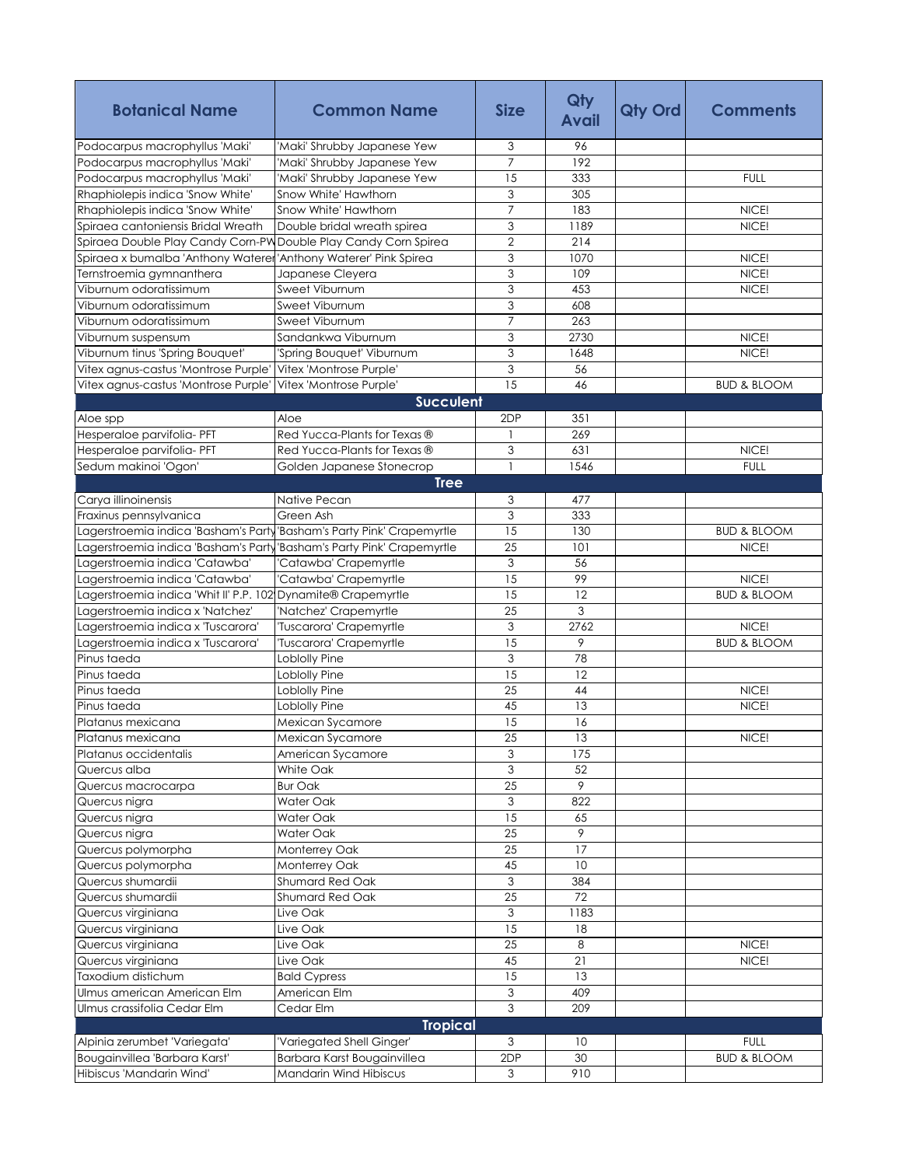| <b>Botanical Name</b>                                           | <b>Common Name</b>                | <b>Size</b>     | Qty<br><b>Avail</b> | <b>Qty Ord</b> | <b>Comments</b>        |
|-----------------------------------------------------------------|-----------------------------------|-----------------|---------------------|----------------|------------------------|
| Podocarpus macrophyllus 'Maki'                                  | 'Maki' Shrubby Japanese Yew       | 3               | 96                  |                |                        |
| Podocarpus macrophyllus 'Maki'                                  | 'Maki' Shrubby Japanese Yew       | $\overline{7}$  | 192                 |                |                        |
| Podocarpus macrophyllus 'Maki'                                  | 'Maki' Shrubby Japanese Yew       | 15              | 333                 |                | <b>FULL</b>            |
| Rhaphiolepis indica 'Snow White'                                | Snow White' Hawthorn              | 3               | 305                 |                |                        |
| Rhaphiolepis indica 'Snow White'                                | Snow White' Hawthorn              | $\overline{7}$  | 183                 |                | NICE!                  |
| Spiraea cantoniensis Bridal Wreath                              | Double bridal wreath spirea       | 3               | 1189                |                | NICE!                  |
| Spiraea Double Play Candy Corn-PW Double Play Candy Corn Spirea |                                   | $\overline{2}$  | 214                 |                |                        |
| Spiraea x bumalba 'Anthony Waterer                              | 'Anthony Waterer' Pink Spirea     | 3               | 1070                |                | NICE!                  |
| Ternstroemia gymnanthera                                        | Japanese Cleyera                  | 3               | 109                 |                | NICE!                  |
| Viburnum odoratissimum                                          | Sweet Viburnum                    | $\overline{3}$  | 453                 |                | NICE!                  |
| Viburnum odoratissimum                                          | Sweet Viburnum                    | 3               | 608                 |                |                        |
| Viburnum odoratissimum                                          | Sweet Viburnum                    | $\overline{7}$  | 263                 |                |                        |
| Viburnum suspensum                                              | Sandankwa Viburnum                | 3               | 2730                |                | NICE!                  |
| Viburnum tinus 'Spring Bouquet'                                 | 'Spring Bouquet' Viburnum         | 3               | 1648                |                | NICE!                  |
| Vitex agnus-castus 'Montrose Purple'                            | Vitex 'Montrose Purple'           | $\overline{3}$  | 56                  |                |                        |
| Vitex agnus-castus 'Montrose Purple'                            | Vitex 'Montrose Purple'           | 15              | 46                  |                | <b>BUD &amp; BLOOM</b> |
|                                                                 | <b>Succulent</b>                  |                 |                     |                |                        |
| Aloe spp                                                        | Aloe                              | 2DP             | 351                 |                |                        |
| Hesperaloe parvifolia- PFT                                      | Red Yucca-Plants for Texas ®      | $\mathbf{1}$    | 269                 |                |                        |
| Hesperaloe parvifolia- PFT                                      | Red Yucca-Plants for Texas ®      | 3               | 631                 |                | NICE!                  |
| Sedum makinoi 'Ogon'                                            | Golden Japanese Stonecrop         | $\mathbf{1}$    | 1546                |                | <b>FULL</b>            |
|                                                                 | <b>Tree</b>                       |                 |                     |                |                        |
| Carya illinoinensis                                             | Native Pecan                      | 3               | 477                 |                |                        |
| Fraxinus pennsylvanica                                          | Green Ash                         | 3               | 333                 |                |                        |
| Lagerstroemia indica 'Basham's Party                            | 'Basham's Party Pink' Crapemyrtle | 15              | 130                 |                | <b>BUD &amp; BLOOM</b> |
| Lagerstroemia indica 'Basham's Party                            | 'Basham's Party Pink' Crapemyrtle | 25              | 101                 |                | NICE!                  |
| Lagerstroemia indica 'Catawba'                                  | Catawba' Crapemyrtle              | 3               | 56                  |                |                        |
| Lagerstroemia indica 'Catawba'                                  | 'Catawba' Crapemyrtle             | 15              | 99                  |                | NICE!                  |
| Lagerstroemia indica 'Whit II' P.P. 102 Dynamite® Crapemyrtle   |                                   | 15              | 12                  |                | <b>BUD &amp; BLOOM</b> |
| Lagerstroemia indica x 'Natchez'                                | 'Natchez' Crapemyrtle             | 25              | 3                   |                |                        |
| Lagerstroemia indica x 'Tuscarora'                              | 'Tuscarora' Crapemyrtle           | 3               | 2762                |                | NICE!                  |
| Lagerstroemia indica x 'Tuscarora'                              | Tuscarora' Crapemyrtle            | 15              | 9                   |                | <b>BUD &amp; BLOOM</b> |
| Pinus taeda                                                     | Loblolly Pine                     | 3               | 78                  |                |                        |
| Pinus taeda                                                     | Loblolly Pine                     | 15              | 12                  |                |                        |
| Pinus taeda                                                     | Loblolly Pine                     | 25              | 44                  |                | NICE!                  |
| Pinus taeda                                                     | Loblolly Pine                     | 45              | 13                  |                | NICE!                  |
|                                                                 | Mexican Sycamore                  | 15              | 16                  |                |                        |
| Platanus mexicana<br>Platanus mexicana                          |                                   | 25              | 13                  |                |                        |
|                                                                 | Mexican Sycamore                  | 3               |                     |                | NICE!                  |
| Platanus occidentalis                                           | American Sycamore                 |                 | 175                 |                |                        |
| Quercus alba                                                    | White Oak                         | 3               | 52                  |                |                        |
| Quercus macrocarpa                                              | <b>Bur Oak</b>                    | 25              | 9                   |                |                        |
| Quercus nigra                                                   | Water Oak                         | 3<br>15         | 822                 |                |                        |
| Quercus nigra                                                   | Water Oak                         | $\overline{25}$ | 65<br>9             |                |                        |
| Quercus nigra                                                   | Water Oak                         |                 |                     |                |                        |
| Quercus polymorpha                                              | Monterrey Oak                     | 25              | 17                  |                |                        |
| Quercus polymorpha                                              | Monterrey Oak                     | 45              | 10                  |                |                        |
| Quercus shumardii                                               | Shumard Red Oak                   | 3               | 384                 |                |                        |
| Quercus shumardii                                               | Shumard Red Oak                   | 25              | 72                  |                |                        |
| Quercus virginiana                                              | Live Oak                          | $\mathfrak{Z}$  | 1183                |                |                        |
| Quercus virginiana                                              | Live Oak                          | 15              | 18                  |                |                        |
| Quercus virginiana                                              | Live Oak                          | 25              | 8                   |                | NICE!                  |
| Quercus virginiana                                              | Live Oak                          | 45              | $\overline{21}$     |                | NICE!                  |
| Taxodium distichum                                              | <b>Bald Cypress</b>               | 15              | 13                  |                |                        |
| Ulmus american American Elm                                     | American Elm                      | $\overline{3}$  | 409                 |                |                        |
| Ulmus crassifolia Cedar Elm                                     | Cedar Elm                         | 3               | 209                 |                |                        |
|                                                                 | <b>Tropical</b>                   |                 |                     |                |                        |
| Alpinia zerumbet 'Variegata'                                    | 'Variegated Shell Ginger'         | 3               | 10                  |                | <b>FULL</b>            |
| Bougainvillea 'Barbara Karst'                                   | Barbara Karst Bougainvillea       | 2DP             | 30                  |                | <b>BUD &amp; BLOOM</b> |
| Hibiscus 'Mandarin Wind'                                        | Mandarin Wind Hibiscus            | 3               | 910                 |                |                        |